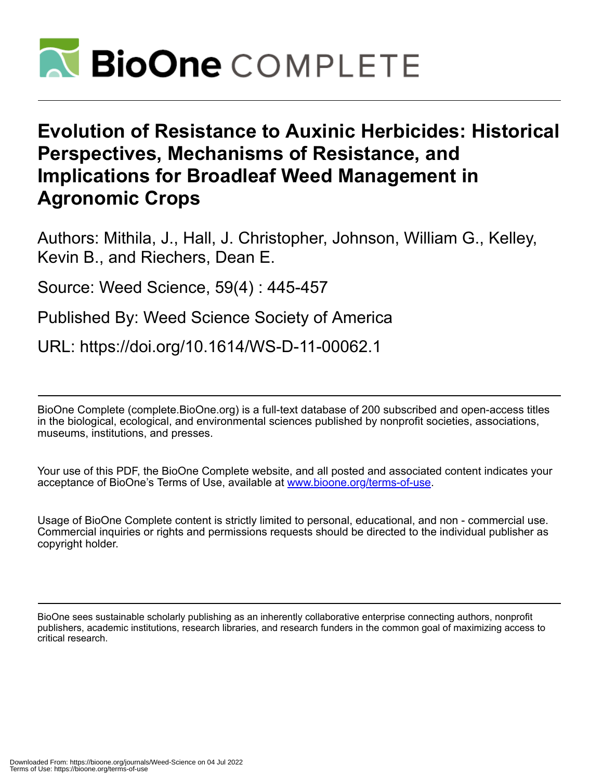

# **Evolution of Resistance to Auxinic Herbicides: Historical Perspectives, Mechanisms of Resistance, and Implications for Broadleaf Weed Management in Agronomic Crops**

Authors: Mithila, J., Hall, J. Christopher, Johnson, William G., Kelley, Kevin B., and Riechers, Dean E.

Source: Weed Science, 59(4) : 445-457

Published By: Weed Science Society of America

URL: https://doi.org/10.1614/WS-D-11-00062.1

BioOne Complete (complete.BioOne.org) is a full-text database of 200 subscribed and open-access titles in the biological, ecological, and environmental sciences published by nonprofit societies, associations, museums, institutions, and presses.

Your use of this PDF, the BioOne Complete website, and all posted and associated content indicates your acceptance of BioOne's Terms of Use, available at www.bioone.org/terms-of-use.

Usage of BioOne Complete content is strictly limited to personal, educational, and non - commercial use. Commercial inquiries or rights and permissions requests should be directed to the individual publisher as copyright holder.

BioOne sees sustainable scholarly publishing as an inherently collaborative enterprise connecting authors, nonprofit publishers, academic institutions, research libraries, and research funders in the common goal of maximizing access to critical research.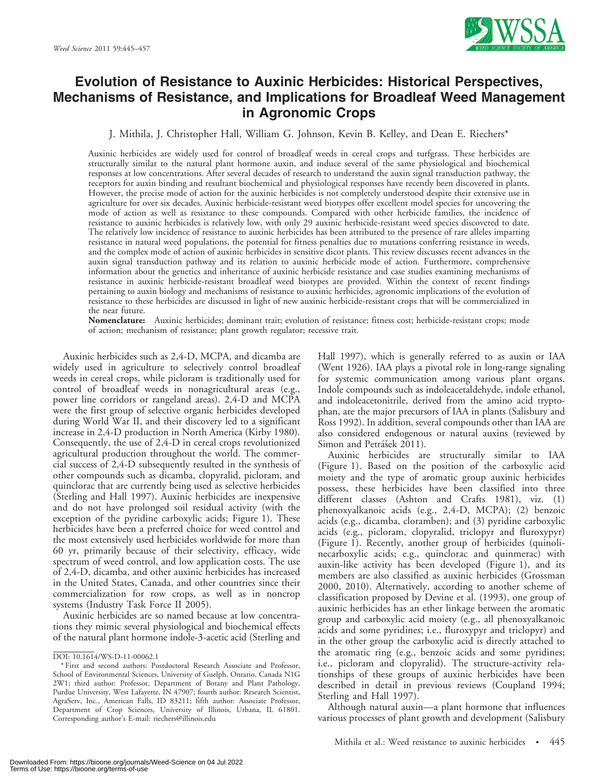

# Evolution of Resistance to Auxinic Herbicides: Historical Perspectives, Mechanisms of Resistance, and Implications for Broadleaf Weed Management in Agronomic Crops

J. Mithila, J. Christopher Hall, William G. Johnson, Kevin B. Kelley, and Dean E. Riechers\*

Auxinic herbicides are widely used for control of broadleaf weeds in cereal crops and turfgrass. These herbicides are structurally similar to the natural plant hormone auxin, and induce several of the same physiological and biochemical responses at low concentrations. After several decades of research to understand the auxin signal transduction pathway, the receptors for auxin binding and resultant biochemical and physiological responses have recently been discovered in plants. However, the precise mode of action for the auxinic herbicides is not completely understood despite their extensive use in agriculture for over six decades. Auxinic herbicide-resistant weed biotypes offer excellent model species for uncovering the mode of action as well as resistance to these compounds. Compared with other herbicide families, the incidence of resistance to auxinic herbicides is relatively low, with only 29 auxinic herbicide-resistant weed species discovered to date. The relatively low incidence of resistance to auxinic herbicides has been attributed to the presence of rare alleles imparting resistance in natural weed populations, the potential for fitness penalties due to mutations conferring resistance in weeds, and the complex mode of action of auxinic herbicides in sensitive dicot plants. This review discusses recent advances in the auxin signal transduction pathway and its relation to auxinic herbicide mode of action. Furthermore, comprehensive information about the genetics and inheritance of auxinic herbicide resistance and case studies examining mechanisms of resistance in auxinic herbicide-resistant broadleaf weed biotypes are provided. Within the context of recent findings pertaining to auxin biology and mechanisms of resistance to auxinic herbicides, agronomic implications of the evolution of resistance to these herbicides are discussed in light of new auxinic herbicide-resistant crops that will be commercialized in the near future.

Nomenclature: Auxinic herbicides; dominant trait; evolution of resistance; fitness cost; herbicide-resistant crops; mode of action; mechanism of resistance; plant growth regulator; recessive trait.

Auxinic herbicides such as 2,4-D, MCPA, and dicamba are widely used in agriculture to selectively control broadleaf weeds in cereal crops, while picloram is traditionally used for control of broadleaf weeds in nonagricultural areas (e.g., power line corridors or rangeland areas). 2,4-D and MCPA were the first group of selective organic herbicides developed during World War II, and their discovery led to a significant increase in 2,4-D production in North America (Kirby 1980). Consequently, the use of 2,4-D in cereal crops revolutionized agricultural production throughout the world. The commercial success of 2,4-D subsequently resulted in the synthesis of other compounds such as dicamba, clopyralid, picloram, and quinclorac that are currently being used as selective herbicides (Sterling and Hall 1997). Auxinic herbicides are inexpensive and do not have prolonged soil residual activity (with the exception of the pyridine carboxylic acids; Figure 1). These herbicides have been a preferred choice for weed control and the most extensively used herbicides worldwide for more than 60 yr, primarily because of their selectivity, efficacy, wide spectrum of weed control, and low application costs. The use of 2,4-D, dicamba, and other auxinic herbicides has increased in the United States, Canada, and other countries since their commercialization for row crops, as well as in noncrop systems (Industry Task Force II 2005).

Auxinic herbicides are so named because at low concentrations they mimic several physiological and biochemical effects of the natural plant hormone indole-3-acetic acid (Sterling and Hall 1997), which is generally referred to as auxin or IAA (Went 1926). IAA plays a pivotal role in long-range signaling for systemic communication among various plant organs. Indole compounds such as indoleacetaldehyde, indole ethanol, and indoleacetonitrile, derived from the amino acid tryptophan, are the major precursors of IAA in plants (Salisbury and Ross 1992). In addition, several compounds other than IAA are also considered endogenous or natural auxins (reviewed by Simon and Petrášek 2011).

Auxinic herbicides are structurally similar to IAA (Figure 1). Based on the position of the carboxylic acid moiety and the type of aromatic group auxinic herbicides possess, these herbicides have been classified into three different classes (Ashton and Crafts 1981), viz. (1) phenoxyalkanoic acids (e.g., 2,4-D, MCPA); (2) benzoic acids (e.g., dicamba, cloramben); and (3) pyridine carboxylic acids (e.g., picloram, clopyralid, triclopyr and fluroxypyr) (Figure 1). Recently, another group of herbicides (quinolinecarboxylic acids; e.g., quinclorac and quinmerac) with auxin-like activity has been developed (Figure 1), and its members are also classified as auxinic herbicides (Grossman 2000, 2010). Alternatively, according to another scheme of classification proposed by Devine et al. (1993), one group of auxinic herbicides has an ether linkage between the aromatic group and carboxylic acid moiety (e.g., all phenoxyalkanoic acids and some pyridines; i.e., fluroxypyr and triclopyr) and in the other group the carboxylic acid is directly attached to the aromatic ring (e.g., benzoic acids and some pyridines; i.e., picloram and clopyralid). The structure-activity relationships of these groups of auxinic herbicides have been described in detail in previous reviews (Coupland 1994; Sterling and Hall 1997).

Although natural auxin—a plant hormone that influences various processes of plant growth and development (Salisbury

DOI: 10.1614/WS-D-11-00062.1

<sup>\*</sup> First and second authors: Postdoctoral Research Associate and Professor, School of Environmental Sciences, University of Guelph, Ontario, Canada N1G 2W1; third author: Professor, Department of Botany and Plant Pathology, Purdue University, West Lafayette, IN 47907; fourth author: Research Scientist, AgraServ, Inc., American Falls, ID 83211; fifth author: Associate Professor, Department of Crop Sciences, University of Illinois, Urbana, IL 61801. Corresponding author's E-mail: riechers@illinois.edu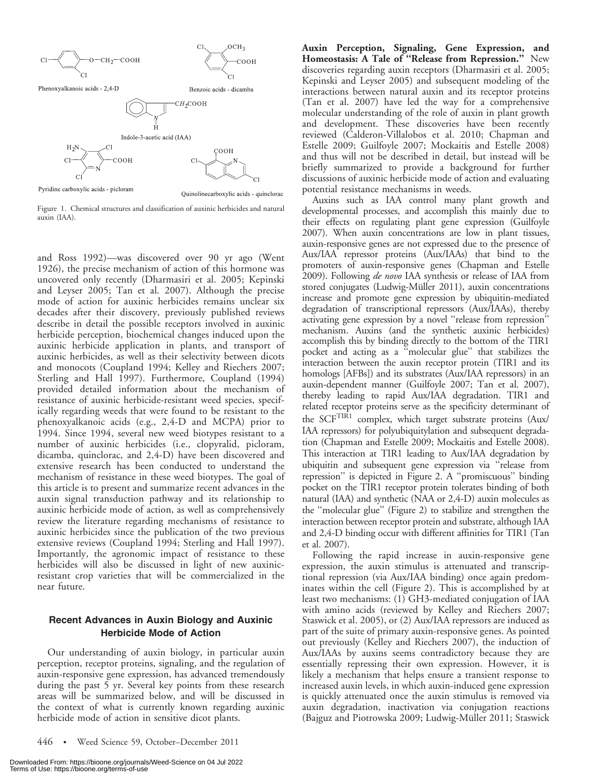

Pyridine carboxylic acids - picloram

auxin (IAA).

Figure 1. Chemical structures and classification of auxinic herbicides and natural

and Ross 1992)—was discovered over 90 yr ago (Went 1926), the precise mechanism of action of this hormone was uncovered only recently (Dharmasiri et al. 2005; Kepinski and Leyser 2005; Tan et al. 2007). Although the precise mode of action for auxinic herbicides remains unclear six decades after their discovery, previously published reviews describe in detail the possible receptors involved in auxinic herbicide perception, biochemical changes induced upon the auxinic herbicide application in plants, and transport of auxinic herbicides, as well as their selectivity between dicots and monocots (Coupland 1994; Kelley and Riechers 2007; Sterling and Hall 1997). Furthermore, Coupland (1994) provided detailed information about the mechanism of resistance of auxinic herbicide-resistant weed species, specifically regarding weeds that were found to be resistant to the phenoxyalkanoic acids (e.g., 2,4-D and MCPA) prior to 1994. Since 1994, several new weed biotypes resistant to a number of auxinic herbicides (i.e., clopyralid, picloram, dicamba, quinclorac, and 2,4-D) have been discovered and extensive research has been conducted to understand the mechanism of resistance in these weed biotypes. The goal of this article is to present and summarize recent advances in the auxin signal transduction pathway and its relationship to auxinic herbicide mode of action, as well as comprehensively review the literature regarding mechanisms of resistance to auxinic herbicides since the publication of the two previous extensive reviews (Coupland 1994; Sterling and Hall 1997). Importantly, the agronomic impact of resistance to these herbicides will also be discussed in light of new auxinicresistant crop varieties that will be commercialized in the near future.

# Recent Advances in Auxin Biology and Auxinic Herbicide Mode of Action

Our understanding of auxin biology, in particular auxin perception, receptor proteins, signaling, and the regulation of auxin-responsive gene expression, has advanced tremendously during the past 5 yr. Several key points from these research areas will be summarized below, and will be discussed in the context of what is currently known regarding auxinic herbicide mode of action in sensitive dicot plants.

Auxin Perception, Signaling, Gene Expression, and Homeostasis: A Tale of "Release from Repression." New discoveries regarding auxin receptors (Dharmasiri et al. 2005; Kepinski and Leyser 2005) and subsequent modeling of the interactions between natural auxin and its receptor proteins (Tan et al. 2007) have led the way for a comprehensive molecular understanding of the role of auxin in plant growth and development. These discoveries have been recently reviewed (Calderon-Villalobos et al. 2010; Chapman and Estelle 2009; Guilfoyle 2007; Mockaitis and Estelle 2008) and thus will not be described in detail, but instead will be briefly summarized to provide a background for further discussions of auxinic herbicide mode of action and evaluating potential resistance mechanisms in weeds.

Auxins such as IAA control many plant growth and developmental processes, and accomplish this mainly due to their effects on regulating plant gene expression (Guilfoyle 2007). When auxin concentrations are low in plant tissues, auxin-responsive genes are not expressed due to the presence of Aux/IAA repressor proteins (Aux/IAAs) that bind to the promoters of auxin-responsive genes (Chapman and Estelle 2009). Following *de novo* IAA synthesis or release of IAA from stored conjugates (Ludwig-Müller 2011), auxin concentrations increase and promote gene expression by ubiquitin-mediated degradation of transcriptional repressors (Aux/IAAs), thereby activating gene expression by a novel ''release from repression'' mechanism. Auxins (and the synthetic auxinic herbicides) accomplish this by binding directly to the bottom of the TIR1 pocket and acting as a ''molecular glue'' that stabilizes the interaction between the auxin receptor protein (TIR1 and its homologs [AFBs]) and its substrates (Aux/IAA repressors) in an auxin-dependent manner (Guilfoyle 2007; Tan et al. 2007), thereby leading to rapid Aux/IAA degradation. TIR1 and related receptor proteins serve as the specificity determinant of the SCF<sup>TIR1</sup> complex, which target substrate proteins (Aux/ IAA repressors) for polyubiquitylation and subsequent degradation (Chapman and Estelle 2009; Mockaitis and Estelle 2008). This interaction at TIR1 leading to Aux/IAA degradation by ubiquitin and subsequent gene expression via ''release from repression'' is depicted in Figure 2. A ''promiscuous'' binding pocket on the TIR1 receptor protein tolerates binding of both natural (IAA) and synthetic (NAA or 2,4-D) auxin molecules as the ''molecular glue'' (Figure 2) to stabilize and strengthen the interaction between receptor protein and substrate, although IAA and 2,4-D binding occur with different affinities for TIR1 (Tan et al. 2007).

Following the rapid increase in auxin-responsive gene expression, the auxin stimulus is attenuated and transcriptional repression (via Aux/IAA binding) once again predominates within the cell (Figure 2). This is accomplished by at least two mechanisms: (1) GH3-mediated conjugation of IAA with amino acids (reviewed by Kelley and Riechers 2007; Staswick et al. 2005), or (2) Aux/IAA repressors are induced as part of the suite of primary auxin-responsive genes. As pointed out previously (Kelley and Riechers 2007), the induction of Aux/IAAs by auxins seems contradictory because they are essentially repressing their own expression. However, it is likely a mechanism that helps ensure a transient response to increased auxin levels, in which auxin-induced gene expression is quickly attenuated once the auxin stimulus is removed via auxin degradation, inactivation via conjugation reactions (Bajguz and Piotrowska 2009; Ludwig-Müller 2011; Staswick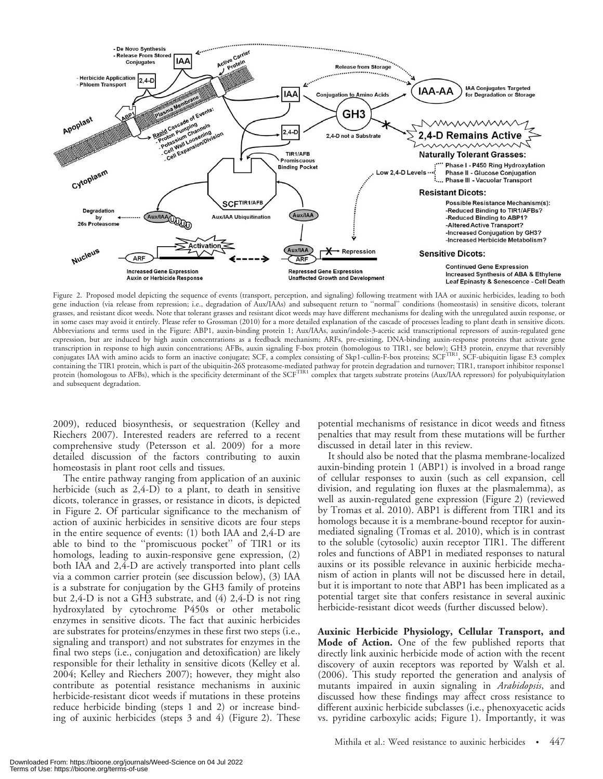

Figure 2. Proposed model depicting the sequence of events (transport, perception, and signaling) following treatment with IAA or auxinic herbicides, leading to both gene induction (via release from repression; i.e., degradation of Aux/IAAs) and subsequent return to ''normal'' conditions (homeostasis) in sensitive dicots, tolerant grasses, and resistant dicot weeds. Note that tolerant grasses and resistant dicot weeds may have different mechanisms for dealing with the unregulated auxin response, or in some cases may avoid it entirely. Please refer to Grossman (2010) for a more detailed explanation of the cascade of processes leading to plant death in sensitive dicots. Abbreviations and terms used in the Figure: ABP1, auxin-binding protein 1; Aux/IAAs, auxin/indole-3-acetic acid transcriptional repressors of auxin-regulated gene expression, but are induced by high auxin concentrations as a feedback mechanism; ARFs, pre-existing, DNA-binding auxin-response proteins that activate gene transcription in response to high auxin concentrations; AFBs, auxin signaling F-box protein (homologous to TIR1, see below); GH3 protein, enzyme that reversibly<br>conjugates IAA with amino acids to form an inactive conjugate containing the TIR1 protein, which is part of the ubiquitin-26S proteasome-mediated pathway for protein degradation and turnover; TIR1, transport inhibitor response1 protein (homologous to AFBs), which is the specificity determinant of the SCF<sup>TIR1</sup> complex that targets substrate proteins (Aux/IAA repressors) for polyubiquitylation and subsequent degradation.

2009), reduced biosynthesis, or sequestration (Kelley and Riechers 2007). Interested readers are referred to a recent comprehensive study (Petersson et al. 2009) for a more detailed discussion of the factors contributing to auxin homeostasis in plant root cells and tissues.

The entire pathway ranging from application of an auxinic herbicide (such as 2,4-D) to a plant, to death in sensitive dicots, tolerance in grasses, or resistance in dicots, is depicted in Figure 2. Of particular significance to the mechanism of action of auxinic herbicides in sensitive dicots are four steps in the entire sequence of events: (1) both IAA and 2,4-D are able to bind to the ''promiscuous pocket'' of TIR1 or its homologs, leading to auxin-responsive gene expression, (2) both IAA and 2,4-D are actively transported into plant cells via a common carrier protein (see discussion below), (3) IAA is a substrate for conjugation by the GH3 family of proteins but 2,4-D is not a GH3 substrate, and (4) 2,4-D is not ring hydroxylated by cytochrome P450s or other metabolic enzymes in sensitive dicots. The fact that auxinic herbicides are substrates for proteins/enzymes in these first two steps (i.e., signaling and transport) and not substrates for enzymes in the final two steps (i.e., conjugation and detoxification) are likely responsible for their lethality in sensitive dicots (Kelley et al. 2004; Kelley and Riechers 2007); however, they might also contribute as potential resistance mechanisms in auxinic herbicide-resistant dicot weeds if mutations in these proteins reduce herbicide binding (steps 1 and 2) or increase binding of auxinic herbicides (steps 3 and 4) (Figure 2). These potential mechanisms of resistance in dicot weeds and fitness penalties that may result from these mutations will be further discussed in detail later in this review.

It should also be noted that the plasma membrane-localized auxin-binding protein 1 (ABP1) is involved in a broad range of cellular responses to auxin (such as cell expansion, cell division, and regulating ion fluxes at the plasmalemma), as well as auxin-regulated gene expression (Figure 2) (reviewed by Tromas et al. 2010). ABP1 is different from TIR1 and its homologs because it is a membrane-bound receptor for auxinmediated signaling (Tromas et al. 2010), which is in contrast to the soluble (cytosolic) auxin receptor TIR1. The different roles and functions of ABP1 in mediated responses to natural auxins or its possible relevance in auxinic herbicide mechanism of action in plants will not be discussed here in detail, but it is important to note that ABP1 has been implicated as a potential target site that confers resistance in several auxinic herbicide-resistant dicot weeds (further discussed below).

Auxinic Herbicide Physiology, Cellular Transport, and Mode of Action. One of the few published reports that directly link auxinic herbicide mode of action with the recent discovery of auxin receptors was reported by Walsh et al. (2006). This study reported the generation and analysis of mutants impaired in auxin signaling in Arabidopsis, and discussed how these findings may affect cross resistance to different auxinic herbicide subclasses (i.e., phenoxyacetic acids vs. pyridine carboxylic acids; Figure 1). Importantly, it was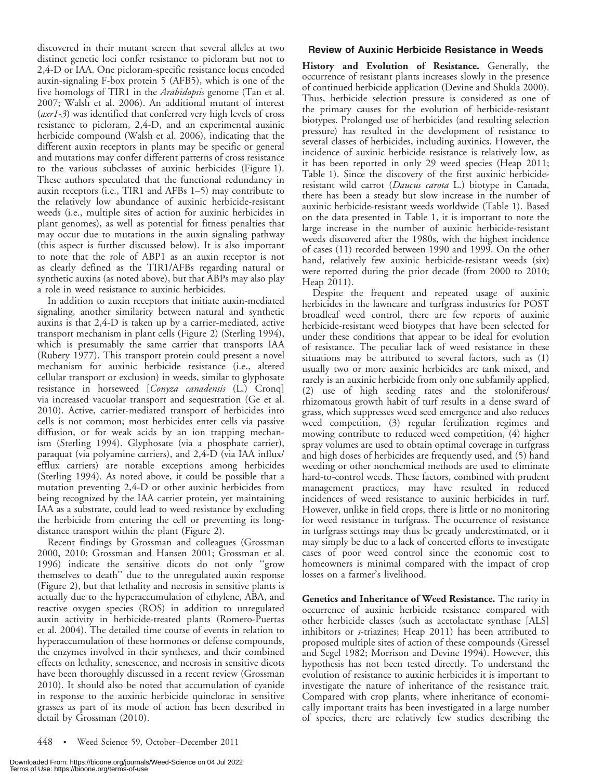discovered in their mutant screen that several alleles at two distinct genetic loci confer resistance to picloram but not to 2,4-D or IAA. One picloram-specific resistance locus encoded auxin-signaling F-box protein 5 (AFB5), which is one of the five homologs of TIR1 in the Arabidopsis genome (Tan et al. 2007; Walsh et al. 2006). An additional mutant of interest (axr1-3) was identified that conferred very high levels of cross resistance to picloram, 2,4-D, and an experimental auxinic herbicide compound (Walsh et al. 2006), indicating that the different auxin receptors in plants may be specific or general and mutations may confer different patterns of cross resistance to the various subclasses of auxinic herbicides (Figure 1). These authors speculated that the functional redundancy in auxin receptors (i.e., TIR1 and AFBs 1–5) may contribute to the relatively low abundance of auxinic herbicide-resistant weeds (i.e., multiple sites of action for auxinic herbicides in plant genomes), as well as potential for fitness penalties that may occur due to mutations in the auxin signaling pathway (this aspect is further discussed below). It is also important to note that the role of ABP1 as an auxin receptor is not as clearly defined as the TIR1/AFBs regarding natural or synthetic auxins (as noted above), but that ABPs may also play a role in weed resistance to auxinic herbicides.

In addition to auxin receptors that initiate auxin-mediated signaling, another similarity between natural and synthetic auxins is that 2,4-D is taken up by a carrier-mediated, active transport mechanism in plant cells (Figure 2) (Sterling 1994), which is presumably the same carrier that transports IAA (Rubery 1977). This transport protein could present a novel mechanism for auxinic herbicide resistance (i.e., altered cellular transport or exclusion) in weeds, similar to glyphosate resistance in horseweed [Conyza canadensis (L.) Cronq] via increased vacuolar transport and sequestration (Ge et al. 2010). Active, carrier-mediated transport of herbicides into cells is not common; most herbicides enter cells via passive diffusion, or for weak acids by an ion trapping mechanism (Sterling 1994). Glyphosate (via a phosphate carrier), paraquat (via polyamine carriers), and 2,4-D (via IAA influx/ efflux carriers) are notable exceptions among herbicides (Sterling 1994). As noted above, it could be possible that a mutation preventing 2,4-D or other auxinic herbicides from being recognized by the IAA carrier protein, yet maintaining IAA as a substrate, could lead to weed resistance by excluding the herbicide from entering the cell or preventing its longdistance transport within the plant (Figure 2).

Recent findings by Grossman and colleagues (Grossman 2000, 2010; Grossman and Hansen 2001; Grossman et al. 1996) indicate the sensitive dicots do not only ''grow themselves to death'' due to the unregulated auxin response (Figure 2), but that lethality and necrosis in sensitive plants is actually due to the hyperaccumulation of ethylene, ABA, and reactive oxygen species (ROS) in addition to unregulated auxin activity in herbicide-treated plants (Romero-Puertas et al. 2004). The detailed time course of events in relation to hyperaccumulation of these hormones or defense compounds, the enzymes involved in their syntheses, and their combined effects on lethality, senescence, and necrosis in sensitive dicots have been thoroughly discussed in a recent review (Grossman 2010). It should also be noted that accumulation of cyanide in response to the auxinic herbicide quinclorac in sensitive grasses as part of its mode of action has been described in detail by Grossman (2010).

#### Review of Auxinic Herbicide Resistance in Weeds

History and Evolution of Resistance. Generally, the occurrence of resistant plants increases slowly in the presence of continued herbicide application (Devine and Shukla 2000). Thus, herbicide selection pressure is considered as one of the primary causes for the evolution of herbicide-resistant biotypes. Prolonged use of herbicides (and resulting selection pressure) has resulted in the development of resistance to several classes of herbicides, including auxinics. However, the incidence of auxinic herbicide resistance is relatively low, as it has been reported in only 29 weed species (Heap 2011; Table 1). Since the discovery of the first auxinic herbicideresistant wild carrot (Daucus carota L.) biotype in Canada, there has been a steady but slow increase in the number of auxinic herbicide-resistant weeds worldwide (Table 1). Based on the data presented in Table 1, it is important to note the large increase in the number of auxinic herbicide-resistant weeds discovered after the 1980s, with the highest incidence of cases (11) recorded between 1990 and 1999. On the other hand, relatively few auxinic herbicide-resistant weeds (six) were reported during the prior decade (from 2000 to 2010; Heap 2011).

Despite the frequent and repeated usage of auxinic herbicides in the lawncare and turfgrass industries for POST broadleaf weed control, there are few reports of auxinic herbicide-resistant weed biotypes that have been selected for under these conditions that appear to be ideal for evolution of resistance. The peculiar lack of weed resistance in these situations may be attributed to several factors, such as (1) usually two or more auxinic herbicides are tank mixed, and rarely is an auxinic herbicide from only one subfamily applied, (2) use of high seeding rates and the stoloniferous/ rhizomatous growth habit of turf results in a dense sward of grass, which suppresses weed seed emergence and also reduces weed competition, (3) regular fertilization regimes and mowing contribute to reduced weed competition, (4) higher spray volumes are used to obtain optimal coverage in turfgrass and high doses of herbicides are frequently used, and (5) hand weeding or other nonchemical methods are used to eliminate hard-to-control weeds. These factors, combined with prudent management practices, may have resulted in reduced incidences of weed resistance to auxinic herbicides in turf. However, unlike in field crops, there is little or no monitoring for weed resistance in turfgrass. The occurrence of resistance in turfgrass settings may thus be greatly underestimated, or it may simply be due to a lack of concerted efforts to investigate cases of poor weed control since the economic cost to homeowners is minimal compared with the impact of crop losses on a farmer's livelihood.

Genetics and Inheritance of Weed Resistance. The rarity in occurrence of auxinic herbicide resistance compared with other herbicide classes (such as acetolactate synthase [ALS] inhibitors or s-triazines; Heap 2011) has been attributed to proposed multiple sites of action of these compounds (Gressel and Segel 1982; Morrison and Devine 1994). However, this hypothesis has not been tested directly. To understand the evolution of resistance to auxinic herbicides it is important to investigate the nature of inheritance of the resistance trait. Compared with crop plants, where inheritance of economically important traits has been investigated in a large number of species, there are relatively few studies describing the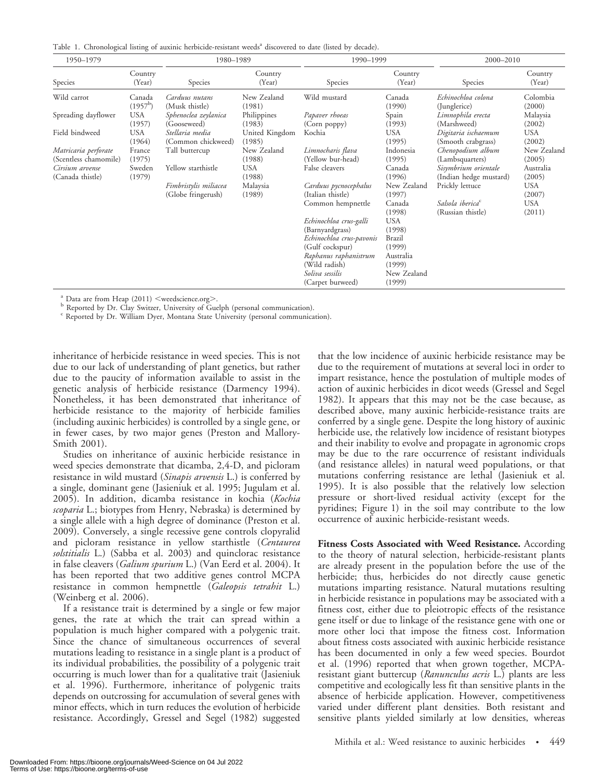Table 1. Chronological listing of auxinic herbicide-resistant weeds<sup>a</sup> discovered to date (listed by decade).

| 1950-1979                                     |                      | 1980-1989                                   |                          | 1990-1999                                                 |                                    | 2000-2010                                         |                       |
|-----------------------------------------------|----------------------|---------------------------------------------|--------------------------|-----------------------------------------------------------|------------------------------------|---------------------------------------------------|-----------------------|
| Species                                       | Country<br>(Year)    | Species                                     | Country<br>(Year)        | Species                                                   | Country<br>(Year)                  | Species                                           | Country<br>(Year)     |
| Wild carrot                                   | Canada<br>$(1957^b)$ | Carduus nutans<br>(Musk thistle)            | New Zealand<br>(1981)    | Wild mustard                                              | Canada<br>(1990)                   | Echinochloa colona<br>(Junglerice)                | Colombia<br>(2000)    |
| Spreading dayflower                           | <b>USA</b><br>(1957) | Sphenoclea zeylanica<br>(Gooseweed)         | Philippines<br>(1983)    | Papaver rhoeas<br>(Corn poppy)                            | Spain<br>(1993)                    | Limnophila erecta<br>(Marshweed)                  | Malaysia<br>(2002)    |
| Field bindweed                                | USA<br>(1964)        | Stellaria media<br>(Common chickweed)       | United Kingdom<br>(1985) | Kochia                                                    | <b>USA</b><br>(1995)               | Digitaria ischaemum<br>(Smooth crabgrass)         | <b>USA</b><br>(2002)  |
| Matricaria perforate<br>(Scentless chamomile) | France<br>(1975)     | Tall buttercup                              | New Zealand<br>(1988)    | Limnocharis flava<br>(Yellow bur-head)                    | Indonesia<br>(1995)                | Chenopodium album<br>(Lambsquarters)              | New Zealand<br>(2005) |
| Cirsium arvense<br>(Canada thistle)           | Sweden<br>(1979)     | Yellow starthistle                          | <b>USA</b><br>(1988)     | False cleavers                                            | Canada<br>(1996)                   | Sisymbrium orientale<br>(Indian hedge mustard)    | Australia<br>(2005)   |
|                                               |                      | Fimbristylis miliacea<br>(Globe fringerush) | Malaysia<br>(1989)       | Carduus pycnocephalus<br>(Italian thistle)                | New Zealand<br>(1997)              | Prickly lettuce                                   | <b>USA</b><br>(2007)  |
|                                               |                      |                                             |                          | Common hempnettle                                         | Canada<br>(1998)                   | Salsola iberica <sup>c</sup><br>(Russian thistle) | <b>USA</b><br>(2011)  |
|                                               |                      |                                             |                          | Echinochloa crus-galli<br>(Barnyardgrass)                 | USA<br>(1998)                      |                                                   |                       |
|                                               |                      |                                             |                          | Echinochloa crus-pavonis<br>(Gulf cockspur)               | Brazil<br>(1999)                   |                                                   |                       |
|                                               |                      |                                             |                          | Raphanus raphanistrum<br>(Wild radish)<br>Soliva sessilis | Australia<br>(1999)<br>New Zealand |                                                   |                       |
|                                               |                      |                                             |                          | (Carpet burweed)                                          | (1999)                             |                                                   |                       |

<sup>a</sup> Data are from Heap (2011)  $\le$ weedscience.org $\ge$ .<br><sup>b</sup> Reported by Dr. Clay Switzer, University of Guelph (personal communication).<br><sup>c</sup> Reported by Dr. William Dyer, Montana State University (personal communication).

inheritance of herbicide resistance in weed species. This is not due to our lack of understanding of plant genetics, but rather due to the paucity of information available to assist in the genetic analysis of herbicide resistance (Darmency 1994). Nonetheless, it has been demonstrated that inheritance of herbicide resistance to the majority of herbicide families (including auxinic herbicides) is controlled by a single gene, or in fewer cases, by two major genes (Preston and Mallory-Smith 2001).

Studies on inheritance of auxinic herbicide resistance in weed species demonstrate that dicamba, 2,4-D, and picloram resistance in wild mustard (*Sinapis arvensis* L.) is conferred by a single, dominant gene (Jasieniuk et al. 1995; Jugulam et al. 2005). In addition, dicamba resistance in kochia (Kochia scoparia L.; biotypes from Henry, Nebraska) is determined by a single allele with a high degree of dominance (Preston et al. 2009). Conversely, a single recessive gene controls clopyralid and picloram resistance in yellow starthistle (Centaurea solstitialis L.) (Sabba et al. 2003) and quinclorac resistance in false cleavers (Galium spurium L.) (Van Eerd et al. 2004). It has been reported that two additive genes control MCPA resistance in common hempnettle (Galeopsis tetrahit L.) (Weinberg et al. 2006).

If a resistance trait is determined by a single or few major genes, the rate at which the trait can spread within a population is much higher compared with a polygenic trait. Since the chance of simultaneous occurrences of several mutations leading to resistance in a single plant is a product of its individual probabilities, the possibility of a polygenic trait occurring is much lower than for a qualitative trait (Jasieniuk et al. 1996). Furthermore, inheritance of polygenic traits depends on outcrossing for accumulation of several genes with minor effects, which in turn reduces the evolution of herbicide resistance. Accordingly, Gressel and Segel (1982) suggested that the low incidence of auxinic herbicide resistance may be due to the requirement of mutations at several loci in order to impart resistance, hence the postulation of multiple modes of action of auxinic herbicides in dicot weeds (Gressel and Segel 1982). It appears that this may not be the case because, as described above, many auxinic herbicide-resistance traits are conferred by a single gene. Despite the long history of auxinic herbicide use, the relatively low incidence of resistant biotypes and their inability to evolve and propagate in agronomic crops may be due to the rare occurrence of resistant individuals (and resistance alleles) in natural weed populations, or that mutations conferring resistance are lethal (Jasieniuk et al. 1995). It is also possible that the relatively low selection pressure or short-lived residual activity (except for the pyridines; Figure 1) in the soil may contribute to the low occurrence of auxinic herbicide-resistant weeds.

Fitness Costs Associated with Weed Resistance. According to the theory of natural selection, herbicide-resistant plants are already present in the population before the use of the herbicide; thus, herbicides do not directly cause genetic mutations imparting resistance. Natural mutations resulting in herbicide resistance in populations may be associated with a fitness cost, either due to pleiotropic effects of the resistance gene itself or due to linkage of the resistance gene with one or more other loci that impose the fitness cost. Information about fitness costs associated with auxinic herbicide resistance has been documented in only a few weed species. Bourdot et al. (1996) reported that when grown together, MCPAresistant giant buttercup (Ranunculus acris L.) plants are less competitive and ecologically less fit than sensitive plants in the absence of herbicide application. However, competitiveness varied under different plant densities. Both resistant and sensitive plants yielded similarly at low densities, whereas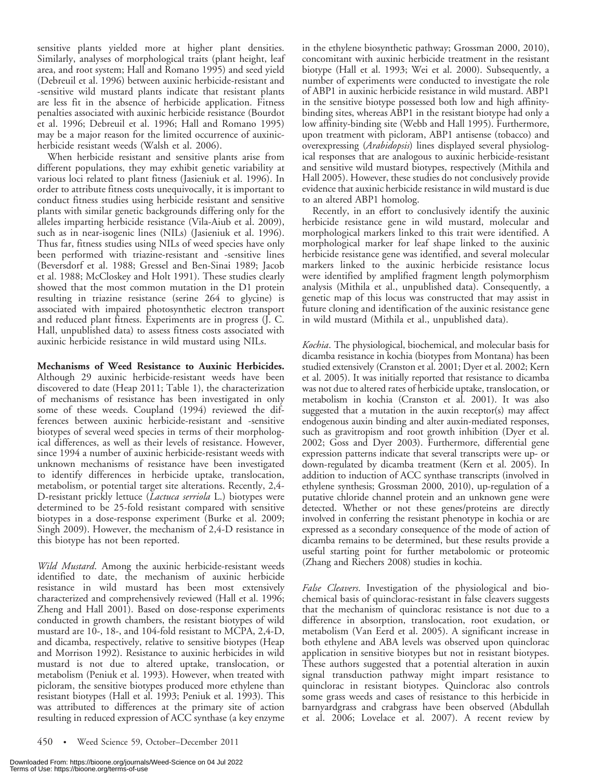sensitive plants yielded more at higher plant densities. Similarly, analyses of morphological traits (plant height, leaf area, and root system; Hall and Romano 1995) and seed yield (Debreuil et al. 1996) between auxinic herbicide-resistant and -sensitive wild mustard plants indicate that resistant plants are less fit in the absence of herbicide application. Fitness penalties associated with auxinic herbicide resistance (Bourdot et al. 1996; Debreuil et al. 1996; Hall and Romano 1995) may be a major reason for the limited occurrence of auxinicherbicide resistant weeds (Walsh et al. 2006).

When herbicide resistant and sensitive plants arise from different populations, they may exhibit genetic variability at various loci related to plant fitness (Jasieniuk et al. 1996). In order to attribute fitness costs unequivocally, it is important to conduct fitness studies using herbicide resistant and sensitive plants with similar genetic backgrounds differing only for the alleles imparting herbicide resistance (Vila-Aiub et al. 2009), such as in near-isogenic lines (NILs) (Jasieniuk et al. 1996). Thus far, fitness studies using NILs of weed species have only been performed with triazine-resistant and -sensitive lines (Beversdorf et al. 1988; Gressel and Ben-Sinai 1989; Jacob et al. 1988; McCloskey and Holt 1991). These studies clearly showed that the most common mutation in the D1 protein resulting in triazine resistance (serine 264 to glycine) is associated with impaired photosynthetic electron transport and reduced plant fitness. Experiments are in progress (J. C. Hall, unpublished data) to assess fitness costs associated with auxinic herbicide resistance in wild mustard using NILs.

Mechanisms of Weed Resistance to Auxinic Herbicides. Although 29 auxinic herbicide-resistant weeds have been discovered to date (Heap 2011; Table 1), the characterization of mechanisms of resistance has been investigated in only some of these weeds. Coupland (1994) reviewed the differences between auxinic herbicide-resistant and -sensitive biotypes of several weed species in terms of their morphological differences, as well as their levels of resistance. However, since 1994 a number of auxinic herbicide-resistant weeds with unknown mechanisms of resistance have been investigated to identify differences in herbicide uptake, translocation, metabolism, or potential target site alterations. Recently, 2,4- D-resistant prickly lettuce (Lactuca serriola L.) biotypes were determined to be 25-fold resistant compared with sensitive biotypes in a dose-response experiment (Burke et al. 2009; Singh 2009). However, the mechanism of 2,4-D resistance in this biotype has not been reported.

Wild Mustard. Among the auxinic herbicide-resistant weeds identified to date, the mechanism of auxinic herbicide resistance in wild mustard has been most extensively characterized and comprehensively reviewed (Hall et al. 1996; Zheng and Hall 2001). Based on dose-response experiments conducted in growth chambers, the resistant biotypes of wild mustard are 10-, 18-, and 104-fold resistant to MCPA, 2,4-D, and dicamba, respectively, relative to sensitive biotypes (Heap and Morrison 1992). Resistance to auxinic herbicides in wild mustard is not due to altered uptake, translocation, or metabolism (Peniuk et al. 1993). However, when treated with picloram, the sensitive biotypes produced more ethylene than resistant biotypes (Hall et al. 1993; Peniuk et al. 1993). This was attributed to differences at the primary site of action resulting in reduced expression of ACC synthase (a key enzyme

in the ethylene biosynthetic pathway; Grossman 2000, 2010), concomitant with auxinic herbicide treatment in the resistant biotype (Hall et al. 1993; Wei et al. 2000). Subsequently, a number of experiments were conducted to investigate the role of ABP1 in auxinic herbicide resistance in wild mustard. ABP1 in the sensitive biotype possessed both low and high affinitybinding sites, whereas ABP1 in the resistant biotype had only a low affinity-binding site (Webb and Hall 1995). Furthermore, upon treatment with picloram, ABP1 antisense (tobacco) and overexpressing (Arabidopsis) lines displayed several physiological responses that are analogous to auxinic herbicide-resistant and sensitive wild mustard biotypes, respectively (Mithila and Hall 2005). However, these studies do not conclusively provide evidence that auxinic herbicide resistance in wild mustard is due to an altered ABP1 homolog.

Recently, in an effort to conclusively identify the auxinic herbicide resistance gene in wild mustard, molecular and morphological markers linked to this trait were identified. A morphological marker for leaf shape linked to the auxinic herbicide resistance gene was identified, and several molecular markers linked to the auxinic herbicide resistance locus were identified by amplified fragment length polymorphism analysis (Mithila et al., unpublished data). Consequently, a genetic map of this locus was constructed that may assist in future cloning and identification of the auxinic resistance gene in wild mustard (Mithila et al., unpublished data).

Kochia. The physiological, biochemical, and molecular basis for dicamba resistance in kochia (biotypes from Montana) has been studied extensively (Cranston et al. 2001; Dyer et al. 2002; Kern et al. 2005). It was initially reported that resistance to dicamba was not due to altered rates of herbicide uptake, translocation, or metabolism in kochia (Cranston et al. 2001). It was also suggested that a mutation in the auxin receptor(s) may affect endogenous auxin binding and alter auxin-mediated responses, such as gravitropism and root growth inhibition (Dyer et al. 2002; Goss and Dyer 2003). Furthermore, differential gene expression patterns indicate that several transcripts were up- or down-regulated by dicamba treatment (Kern et al. 2005). In addition to induction of ACC synthase transcripts (involved in ethylene synthesis; Grossman 2000, 2010), up-regulation of a putative chloride channel protein and an unknown gene were detected. Whether or not these genes/proteins are directly involved in conferring the resistant phenotype in kochia or are expressed as a secondary consequence of the mode of action of dicamba remains to be determined, but these results provide a useful starting point for further metabolomic or proteomic (Zhang and Riechers 2008) studies in kochia.

False Cleavers. Investigation of the physiological and biochemical basis of quinclorac-resistant in false cleavers suggests that the mechanism of quinclorac resistance is not due to a difference in absorption, translocation, root exudation, or metabolism (Van Eerd et al. 2005). A significant increase in both ethylene and ABA levels was observed upon quinclorac application in sensitive biotypes but not in resistant biotypes. These authors suggested that a potential alteration in auxin signal transduction pathway might impart resistance to quinclorac in resistant biotypes. Quinclorac also controls some grass weeds and cases of resistance to this herbicide in barnyardgrass and crabgrass have been observed (Abdullah et al. 2006; Lovelace et al. 2007). A recent review by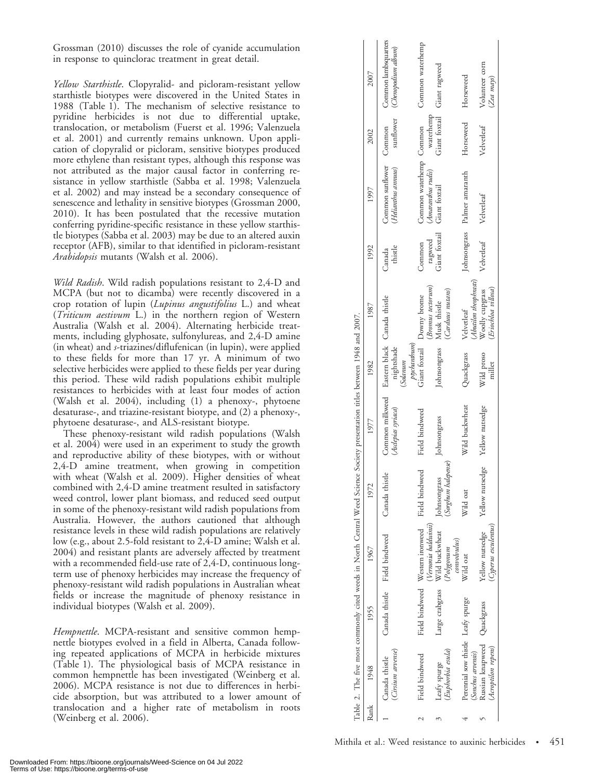Grossman (2010) discusses the role of cyanide accumulation in response to quinclorac treatment in great detail.

Yellow Starthistle. Clopyralid- and picloram-resistant yellow starthistle biotypes were discovered in the United States in 1988 (Table 1). The mechanism of selective resistance to pyridine herbicides is not due to differential uptake, translocation, or metabolism (Fuerst et al. 1996; Valenzuela et al. 2001) and currently remains unknown. Upon application of clopyralid or picloram, sensitive biotypes produced more ethylene than resistant types, although this response was not attributed as the major causal factor in conferring resistance in yellow starthistle (Sabba et al. 1998; Valenzuela et al. 2002) and may instead be a secondary consequence of senescence and lethality in sensitive biotypes (Grossman 2000, 2010). It has been postulated that the recessive mutation conferring pyridine-specific resistance in these yellow starthistle biotypes (Sabba et al. 2003) may be due to an altered auxin receptor (AFB), similar to that identified in picloram-resistant Arabidopsis mutants (Walsh et al. 2006).

Wild Radish. Wild radish populations resistant to 2,4-D and MCPA (but not to dicamba) were recently discovered in a crop rotation of lupin (Lupinus angustifolius L.) and wheat (Triticum aestivum L.) in the northern region of Western Australia (Walsh et al. 2004). Alternating herbicide treatments, including glyphosate, sulfonylureas, and 2,4-D amine (in wheat) and s-triazines/diflufenican (in lupin), were applied to these fields for more than 17 yr. A minimum of two selective herbicides were applied to these fields per year during this period. These wild radish populations exhibit multiple resistances to herbicides with at least four modes of action (Walsh et al. 2004), including (1) a phenoxy-, phytoene desaturase-, and triazine-resistant biotype, and (2) a phenoxy-, phytoene desaturase-, and ALS-resistant biotype.

These phenoxy-resistant wild radish populations (Walsh et al. 2004) were used in an experiment to study the growth and reproductive ability of these biotypes, with or without 2,4-D amine treatment, when growing in competition with wheat (Walsh et al. 2009). Higher densities of wheat combined with 2,4-D amine treatment resulted in satisfactory weed control, lower plant biomass, and reduced seed output in some of the phenoxy-resistant wild radish populations from Australia. However, the authors cautioned that although resistance levels in these wild radish populations are relatively low (e.g., about 2.5-fold resistant to 2,4-D amine; Walsh et al. 2004) and resistant plants are adversely affected by treatment with a recommended field-use rate of 2,4-D, continuous longterm use of phenoxy herbicides may increase the frequency of phenoxy-resistant wild radish populations in Australian wheat fields or increase the magnitude of phenoxy resistance in individual biotypes (Walsh et al. 2009).

Hempnettle. MCPA-resistant and sensitive common hempnettle biotypes evolved in a field in Alberta, Canada following repeated applications of MCPA in herbicide mixtures (Table 1). The physiological basis of MCPA resistance in common hempnettle has been investigated (Weinberg et al. 2006). MCPA resistance is not due to differences in herbicide absorption, but was attributed to a lower amount of translocation and a higher rate of metabolism in roots (Weinberg et al. 2006).

|      |                                                         |                               |                                                         |                                     | Table 2. The five most commonly cited weeds in North Central Weed Science Society presentation titles between 1948 and 2007. |                                                                            |                                                |                   |                                               |            |                                             |
|------|---------------------------------------------------------|-------------------------------|---------------------------------------------------------|-------------------------------------|------------------------------------------------------------------------------------------------------------------------------|----------------------------------------------------------------------------|------------------------------------------------|-------------------|-----------------------------------------------|------------|---------------------------------------------|
| Rank | 1948                                                    | 1955                          | 1967                                                    | 1972                                | 1977                                                                                                                         | 1982                                                                       | 1987                                           | 1992              | 1997                                          | 2002       | 2007                                        |
|      | (Cirsium arvense)<br>Canada thistle                     | Canada thistle Field bindweed |                                                         | Canada thistle                      | Common milkweed<br>(Asclepias syriaca)                                                                                       | Eastern black Canada thistle<br>$pt$ hanthum $)$<br>nightshade<br>(Solanum |                                                | thistle<br>Canada | Common sunflower Common<br>Helianthus annuus) | sunflower  | Common lambsquarters<br>(Chenopodium album) |
|      | <b>Field bindweed</b>                                   |                               | Field bindweed Western ironweed<br>(Vernonia baldwinii) | Field bindweed                      | Field bindweed                                                                                                               |                                                                            | (Bromus tectorum)<br>Giant foxtail Downy brome | ragweed<br>Common | Common waterhemp Common<br>(Amaranthus rudis) | waterhemp  | Common waterhemp                            |
|      | (Euphorbia esula)<br>Leafy spurge                       | Large crabgrass               | Wild buckwheat<br>convolvulus)<br>Polygonum             | (Sorghum halepense)<br>Johnsongrass | Johnsongrass                                                                                                                 | Johnsongrass Musk thistle                                                  | Carduus nutans)                                | Giant foxtail     | Giant foxtail                                 |            | Giant foxtail Giant ragweed                 |
|      | Perennial sow thistle Leafy spurge<br>Sonchus arvensis) |                               | Wild oat                                                | Wild oat                            | Wild buckwheat                                                                                                               | Quackgrass                                                                 | Abutilon theophrasti<br>Velvetleaf             |                   | Johnsongrass Palmer amaranth                  | Horseweed  | Horseweed                                   |
|      | Russian knapweed Quackgrass<br>(Acroptilon repens)      |                               | (Cyperus esculentus)<br>Yellow nutsedge                 | Yellow nutsedge                     | Yellow nutsedge                                                                                                              | Wild proso<br>millet                                                       | (Eriochloa villosa)<br>Woolly cupgrass         | Velvetleaf        | Velvetleaf                                    | Velvetleaf | Volunteer corn<br>(Zea mays)                |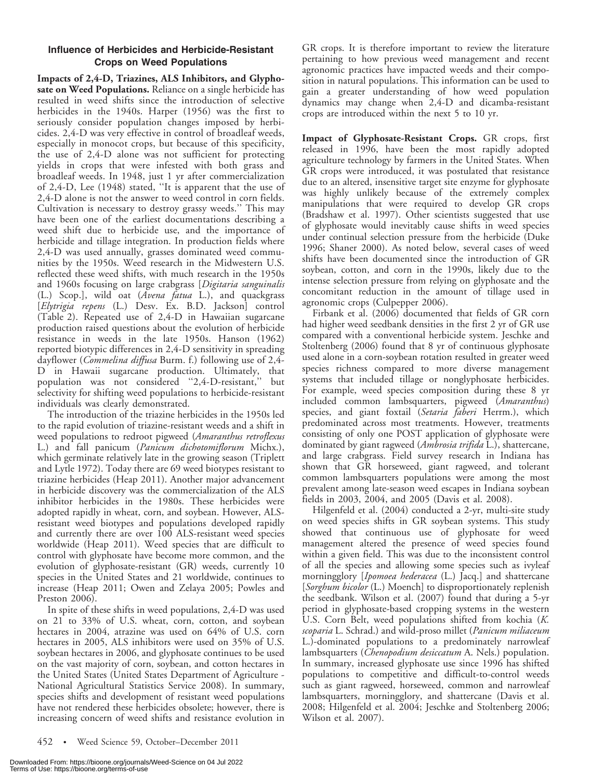# Influence of Herbicides and Herbicide-Resistant Crops on Weed Populations

Impacts of 2,4-D, Triazines, ALS Inhibitors, and Glyphosate on Weed Populations. Reliance on a single herbicide has resulted in weed shifts since the introduction of selective herbicides in the 1940s. Harper (1956) was the first to seriously consider population changes imposed by herbicides. 2,4-D was very effective in control of broadleaf weeds, especially in monocot crops, but because of this specificity, the use of 2,4-D alone was not sufficient for protecting yields in crops that were infested with both grass and broadleaf weeds. In 1948, just 1 yr after commercialization of 2,4-D, Lee (1948) stated, ''It is apparent that the use of 2,4-D alone is not the answer to weed control in corn fields. Cultivation is necessary to destroy grassy weeds.'' This may have been one of the earliest documentations describing a weed shift due to herbicide use, and the importance of herbicide and tillage integration. In production fields where 2,4-D was used annually, grasses dominated weed communities by the 1950s. Weed research in the Midwestern U.S. reflected these weed shifts, with much research in the 1950s and 1960s focusing on large crabgrass [Digitaria sanguinalis (L.) Scop.], wild oat (Avena fatua L.), and quackgrass [Elytrigia repens (L.) Desv. Ex. B.D. Jackson] control (Table 2). Repeated use of 2,4-D in Hawaiian sugarcane production raised questions about the evolution of herbicide resistance in weeds in the late 1950s. Hanson (1962) reported biotypic differences in 2,4-D sensitivity in spreading dayflower (*Commelina diffusa* Burm. f.) following use of 2,4-D in Hawaii sugarcane production. Ultimately, that population was not considered ''2,4-D-resistant,'' but selectivity for shifting weed populations to herbicide-resistant individuals was clearly demonstrated.

The introduction of the triazine herbicides in the 1950s led to the rapid evolution of triazine-resistant weeds and a shift in weed populations to redroot pigweed (Amaranthus retroflexus L.) and fall panicum (Panicum dichotomiflorum Michx.), which germinate relatively late in the growing season (Triplett and Lytle 1972). Today there are 69 weed biotypes resistant to triazine herbicides (Heap 2011). Another major advancement in herbicide discovery was the commercialization of the ALS inhibitor herbicides in the 1980s. These herbicides were adopted rapidly in wheat, corn, and soybean. However, ALSresistant weed biotypes and populations developed rapidly and currently there are over 100 ALS-resistant weed species worldwide (Heap 2011). Weed species that are difficult to control with glyphosate have become more common, and the evolution of glyphosate-resistant (GR) weeds, currently 10 species in the United States and 21 worldwide, continues to increase (Heap 2011; Owen and Zelaya 2005; Powles and Preston 2006).

In spite of these shifts in weed populations, 2,4-D was used on 21 to 33% of U.S. wheat, corn, cotton, and soybean hectares in 2004, atrazine was used on 64% of U.S. corn hectares in 2005, ALS inhibitors were used on 35% of U.S. soybean hectares in 2006, and glyphosate continues to be used on the vast majority of corn, soybean, and cotton hectares in the United States (United States Department of Agriculture - National Agricultural Statistics Service 2008). In summary, species shifts and development of resistant weed populations have not rendered these herbicides obsolete; however, there is increasing concern of weed shifts and resistance evolution in

Impact of Glyphosate-Resistant Crops. GR crops, first released in 1996, have been the most rapidly adopted agriculture technology by farmers in the United States. When GR crops were introduced, it was postulated that resistance due to an altered, insensitive target site enzyme for glyphosate was highly unlikely because of the extremely complex manipulations that were required to develop GR crops (Bradshaw et al. 1997). Other scientists suggested that use of glyphosate would inevitably cause shifts in weed species under continual selection pressure from the herbicide (Duke 1996; Shaner 2000). As noted below, several cases of weed shifts have been documented since the introduction of GR soybean, cotton, and corn in the 1990s, likely due to the intense selection pressure from relying on glyphosate and the concomitant reduction in the amount of tillage used in agronomic crops (Culpepper 2006).

Firbank et al. (2006) documented that fields of GR corn had higher weed seedbank densities in the first 2 yr of GR use compared with a conventional herbicide system. Jeschke and Stoltenberg (2006) found that 8 yr of continuous glyphosate used alone in a corn-soybean rotation resulted in greater weed species richness compared to more diverse management systems that included tillage or nonglyphosate herbicides. For example, weed species composition during these 8 yr included common lambsquarters, pigweed (Amaranthus) species, and giant foxtail (Setaria faberi Herrm.), which predominated across most treatments. However, treatments consisting of only one POST application of glyphosate were dominated by giant ragweed (Ambrosia trifida L.), shattercane, and large crabgrass. Field survey research in Indiana has shown that GR horseweed, giant ragweed, and tolerant common lambsquarters populations were among the most prevalent among late-season weed escapes in Indiana soybean fields in 2003, 2004, and 2005 (Davis et al. 2008).

Hilgenfeld et al. (2004) conducted a 2-yr, multi-site study on weed species shifts in GR soybean systems. This study showed that continuous use of glyphosate for weed management altered the presence of weed species found within a given field. This was due to the inconsistent control of all the species and allowing some species such as ivyleaf morningglory [*Ipomoea hederacea* (L.) Jacq.] and shattercane [Sorghum bicolor (L.) Moench] to disproportionately replenish the seedbank. Wilson et al. (2007) found that during a 5-yr period in glyphosate-based cropping systems in the western U.S. Corn Belt, weed populations shifted from kochia (K. scoparia L. Schrad.) and wild-proso millet (*Panicum miliaceum* L.)-dominated populations to a predominately narrowleaf lambsquarters (Chenopodium desiccatum A. Nels.) population. In summary, increased glyphosate use since 1996 has shifted populations to competitive and difficult-to-control weeds such as giant ragweed, horseweed, common and narrowleaf lambsquarters, morningglory, and shattercane (Davis et al. 2008; Hilgenfeld et al. 2004; Jeschke and Stoltenberg 2006; Wilson et al. 2007).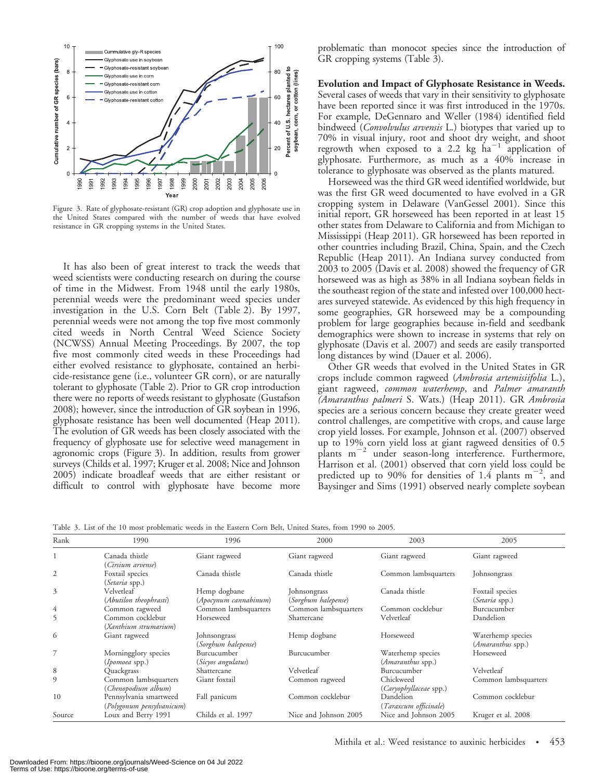

Figure 3. Rate of glyphosate-resistant (GR) crop adoption and glyphosate use in the United States compared with the number of weeds that have evolved resistance in GR cropping systems in the United States.

It has also been of great interest to track the weeds that weed scientists were conducting research on during the course of time in the Midwest. From 1948 until the early 1980s, perennial weeds were the predominant weed species under investigation in the U.S. Corn Belt (Table 2). By 1997, perennial weeds were not among the top five most commonly cited weeds in North Central Weed Science Society (NCWSS) Annual Meeting Proceedings. By 2007, the top five most commonly cited weeds in these Proceedings had either evolved resistance to glyphosate, contained an herbicide-resistance gene (i.e., volunteer GR corn), or are naturally tolerant to glyphosate (Table 2). Prior to GR crop introduction there were no reports of weeds resistant to glyphosate (Gustafson 2008); however, since the introduction of GR soybean in 1996, glyphosate resistance has been well documented (Heap 2011). The evolution of GR weeds has been closely associated with the frequency of glyphosate use for selective weed management in agronomic crops (Figure 3). In addition, results from grower surveys (Childs et al. 1997; Kruger et al. 2008; Nice and Johnson 2005) indicate broadleaf weeds that are either resistant or difficult to control with glyphosate have become more

problematic than monocot species since the introduction of GR cropping systems (Table 3).

Evolution and Impact of Glyphosate Resistance in Weeds. Several cases of weeds that vary in their sensitivity to glyphosate have been reported since it was first introduced in the 1970s. For example, DeGennaro and Weller (1984) identified field bindweed (*Convolvulus arvensis* L.) biotypes that varied up to 70% in visual injury, root and shoot dry weight, and shoot regrowth when exposed to a 2.2 kg  $ha^{-1}$  application of glyphosate. Furthermore, as much as a 40% increase in tolerance to glyphosate was observed as the plants matured.

Horseweed was the third GR weed identified worldwide, but was the first GR weed documented to have evolved in a GR cropping system in Delaware (VanGessel 2001). Since this initial report, GR horseweed has been reported in at least 15 other states from Delaware to California and from Michigan to Mississippi (Heap 2011). GR horseweed has been reported in other countries including Brazil, China, Spain, and the Czech Republic (Heap 2011). An Indiana survey conducted from 2003 to 2005 (Davis et al. 2008) showed the frequency of GR horseweed was as high as 38% in all Indiana soybean fields in the southeast region of the state and infested over 100,000 hectares surveyed statewide. As evidenced by this high frequency in some geographies, GR horseweed may be a compounding problem for large geographies because in-field and seedbank demographics were shown to increase in systems that rely on glyphosate (Davis et al. 2007) and seeds are easily transported long distances by wind (Dauer et al. 2006).

Other GR weeds that evolved in the United States in GR crops include common ragweed (Ambrosia artemisiifolia L.), giant ragweed, common waterhemp, and Palmer amaranth (Amaranthus palmeri S. Wats.) (Heap 2011). GR Ambrosia species are a serious concern because they create greater weed control challenges, are competitive with crops, and cause large crop yield losses. For example, Johnson et al. (2007) observed up to 19% corn yield loss at giant ragweed densities of 0.5  $pi$ <sup>-2</sup> under season-long interference. Furthermore, Harrison et al. (2001) observed that corn yield loss could be predicted up to 90% for densities of 1.4 plants  $m^{-2}$ , and Baysinger and Sims (1991) observed nearly complete soybean

| Table 3. List of the 10 most problematic weeds in the Eastern Corn Belt, United States, from 1990 to 2005. |  |  |  |  |
|------------------------------------------------------------------------------------------------------------|--|--|--|--|
|------------------------------------------------------------------------------------------------------------|--|--|--|--|

| Rank   | 1990                                                | 1996                                  | 2000                                | 2003                                   | 2005                                   |
|--------|-----------------------------------------------------|---------------------------------------|-------------------------------------|----------------------------------------|----------------------------------------|
|        | Canada thistle<br>(Cirsium arvense)                 | Giant ragweed                         | Giant ragweed                       | Giant ragweed                          | Giant ragweed                          |
| 2      | Foxtail species<br>(Setaria spp.)                   | Canada thistle                        | Canada thistle                      | Common lambsquarters                   | Johnsongrass                           |
| 3      | Velvetleaf<br>(Abutilon theophrasti)                | Hemp dogbane<br>(Apocynum cannabinum) | Johnsongrass<br>(Sorghum halepense) | Canada thistle                         | Foxtail species<br>(Setaria spp.)      |
| 4      | Common ragweed                                      | Common lambsquarters                  | Common lambsquarters                | Common cocklebur                       | Burcucumber                            |
| 5      | Common cocklebur<br>(Xanthium strumarium)           | Horseweed                             | Shattercane                         | Velvetleaf                             | Dandelion                              |
| 6      | Giant ragweed                                       | Johnsongrass<br>(Sorghum halepense)   | Hemp dogbane                        | Horseweed                              | Waterhemp species<br>(Amaranthus spp.) |
|        | Morningglory species<br>( <i>Ipomoea</i> spp.)      | Burcucumber<br>(Sicyos angulatus)     | Burcucumber                         | Waterhemp species<br>(Amaranthus spp.) | Horseweed                              |
| 8      | Quackgrass                                          | Shattercane                           | Velvetleaf                          | Burcucumber                            | Velvetleaf                             |
| 9      | Common lambsquarters<br>(Chenopodium album)         | Giant foxtail                         | Common ragweed                      | Chickweed<br>(Caryophyllaceae spp.)    | Common lambsquarters                   |
| 10     | Pennsylvania smartweed<br>(Polygonum pensylvanicum) | Fall panicum                          | Common cocklebur                    | Dandelion<br>(Taraxcum officinale)     | Common cocklebur                       |
| Source | Loux and Berry 1991                                 | Childs et al. 1997                    | Nice and Johnson 2005               | Nice and Johnson 2005                  | Kruger et al. 2008                     |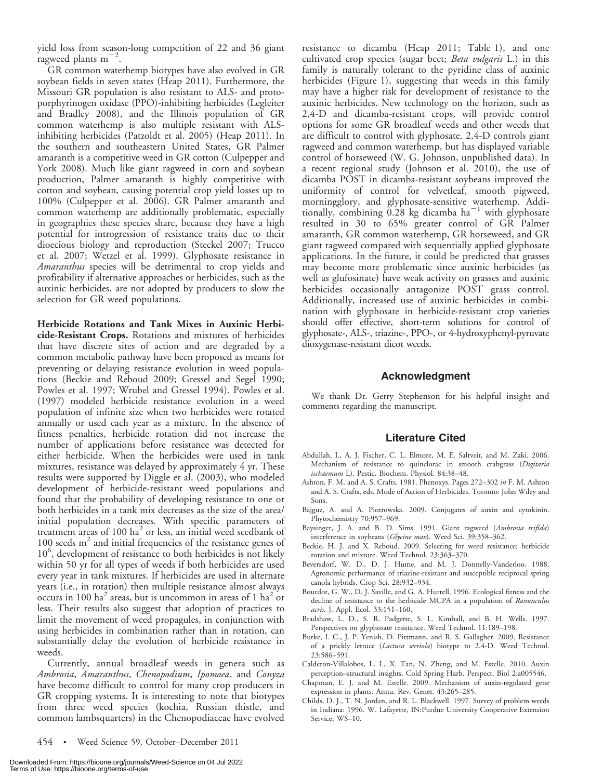yield loss from season-long competition of 22 and 36 giant ragweed plants  $m^{-2}$ .

GR common waterhemp biotypes have also evolved in GR soybean fields in seven states (Heap 2011). Furthermore, the Missouri GR population is also resistant to ALS- and protoporphyrinogen oxidase (PPO)-inhibiting herbicides (Legleiter and Bradley 2008), and the Illinois population of GR common waterhemp is also multiple resistant with ALSinhibiting herbicides (Patzoldt et al. 2005) (Heap 2011). In the southern and southeastern United States, GR Palmer amaranth is a competitive weed in GR cotton (Culpepper and York 2008). Much like giant ragweed in corn and soybean production, Palmer amaranth is highly competitive with cotton and soybean, causing potential crop yield losses up to 100% (Culpepper et al. 2006). GR Palmer amaranth and common waterhemp are additionally problematic, especially in geographies these species share, because they have a high potential for introgression of resistance traits due to their dioecious biology and reproduction (Steckel 2007; Trucco et al. 2007; Wetzel et al. 1999). Glyphosate resistance in Amaranthus species will be detrimental to crop yields and profitability if alternative approaches or herbicides, such as the auxinic herbicides, are not adopted by producers to slow the selection for GR weed populations.

Herbicide Rotations and Tank Mixes in Auxinic Herbicide-Resistant Crops. Rotations and mixtures of herbicides that have discrete sites of action and are degraded by a common metabolic pathway have been proposed as means for preventing or delaying resistance evolution in weed populations (Beckie and Reboud 2009; Gressel and Segel 1990; Powles et al. 1997; Wrubel and Gressel 1994). Powles et al. (1997) modeled herbicide resistance evolution in a weed population of infinite size when two herbicides were rotated annually or used each year as a mixture. In the absence of fitness penalties, herbicide rotation did not increase the number of applications before resistance was detected for either herbicide. When the herbicides were used in tank mixtures, resistance was delayed by approximately 4 yr. These results were supported by Diggle et al. (2003), who modeled development of herbicide-resistant weed populations and found that the probability of developing resistance to one or both herbicides in a tank mix decreases as the size of the area/ initial population decreases. With specific parameters of treatment areas of 100  $ha<sup>2</sup>$  or less, an initial weed seedbank of 100 seeds  $m<sup>2</sup>$  and initial frequencies of the resistance genes of 10<sup>6</sup>, development of resistance to both herbicides is not likely within 50 yr for all types of weeds if both herbicides are used every year in tank mixtures. If herbicides are used in alternate years (i.e., in rotation) then multiple resistance almost always occurs in 100 ha<sup>2</sup> areas, but is uncommon in areas of 1 ha<sup>2</sup> or less. Their results also suggest that adoption of practices to limit the movement of weed propagules, in conjunction with using herbicides in combination rather than in rotation, can substantially delay the evolution of herbicide resistance in weeds.

Currently, annual broadleaf weeds in genera such as Ambrosia, Amaranthus, Chenopodium, Ipomoea, and Conyza have become difficult to control for many crop producers in GR cropping systems. It is interesting to note that biotypes from three weed species (kochia, Russian thistle, and common lambsquarters) in the Chenopodiaceae have evolved resistance to dicamba (Heap 2011; Table 1), and one cultivated crop species (sugar beet; Beta vulgaris L.) in this family is naturally tolerant to the pyridine class of auxinic herbicides (Figure 1), suggesting that weeds in this family may have a higher risk for development of resistance to the auxinic herbicides. New technology on the horizon, such as 2,4-D and dicamba-resistant crops, will provide control options for some GR broadleaf weeds and other weeds that are difficult to control with glyphosate. 2,4-D controls giant ragweed and common waterhemp, but has displayed variable control of horseweed (W. G. Johnson, unpublished data). In a recent regional study (Johnson et al. 2010), the use of dicamba POST in dicamba-resistant soybeans improved the uniformity of control for velvetleaf, smooth pigweed, morningglory, and glyphosate-sensitive waterhemp. Additionally, combining  $0.28$  kg dicamba ha<sup>-1</sup> with glyphosate resulted in 30 to 65% greater control of GR Palmer amaranth, GR common waterhemp, GR horseweed, and GR giant ragweed compared with sequentially applied glyphosate applications. In the future, it could be predicted that grasses may become more problematic since auxinic herbicides (as well as glufosinate) have weak activity on grasses and auxinic herbicides occasionally antagonize POST grass control. Additionally, increased use of auxinic herbicides in combination with glyphosate in herbicide-resistant crop varieties should offer effective, short-term solutions for control of glyphosate-, ALS-, triazine-, PPO-, or 4-hydroxyphenyl-pyruvate dioxygenase-resistant dicot weeds.

#### Acknowledgment

We thank Dr. Gerry Stephenson for his helpful insight and comments regarding the manuscript.

### Literature Cited

- Abdullah, I., A. J. Fischer, C. L. Elmore, M. E. Saltveit, and M. Zaki. 2006. Mechanism of resistance to quinclorac in smooth crabgrass (Digitaria ischaemum L). Pestic. Biochem. Physiol. 84:38–48.
- Ashton, F. M. and A. S. Crafts. 1981. Phenoxys. Pages 272–302 in F. M. Ashton and A. S. Crafts, eds. Mode of Action of Herbicides. Toronto: John Wiley and Sons.
- Bajguz, A. and A. Piotrowska. 2009. Conjugates of auxin and cytokinin. Phytochemistry 70:957–969.
- Baysinger, J. A. and B. D. Sims. 1991. Giant ragweed (Ambrosia trifida) interference in soybeans (Glycine max). Weed Sci. 39:358–362.
- Beckie, H. J. and X. Reboud. 2009. Selecting for weed resistance: herbicide rotation and mixture. Weed Technol. 23:363–370.
- Beversdorf, W. D., D. J. Hume, and M. J. Donnelly-Vanderloo. 1988. Agronomic performance of triazine-resistant and susceptible reciprocal spring canola hybrids. Crop Sci. 28:932–934.
- Bourdot, G. W., D. J. Saville, and G. A. Hurrell. 1996. Ecological fitness and the decline of resistance to the herbicide MCPA in a population of Ranunculus acris. J. Appl. Ecol. 33:151–160.
- Bradshaw, L. D., S. R. Padgette, S. L. Kimball, and B. H. Wells. 1997. Perspectives on glyphosate resistance. Weed Technol. 11:189–198.
- Burke, I. C., J. P. Yenish, D. Pittmann, and R. S. Gallagher. 2009. Resistance of a prickly lettuce (Lactuca serriola) biotype to 2,4-D. Weed Technol. 23:586–591.
- Calderon-Villalobos, L. I., X. Tan, N. Zheng, and M. Estelle. 2010. Auxin perception–structural insights. Cold Spring Harb. Perspect. Biol 2:a005546.
- Chapman, E. J. and M. Estelle. 2009. Mechanism of auxin-regulated gene expression in plants. Annu. Rev. Genet. 43:265–285.
- Childs, D. J., T. N. Jordan, and R. L. Blackwell. 1997. Survey of problem weeds in Indiana: 1996. W. Lafayette, IN:Purdue University Cooperative Extension Service, WS–10.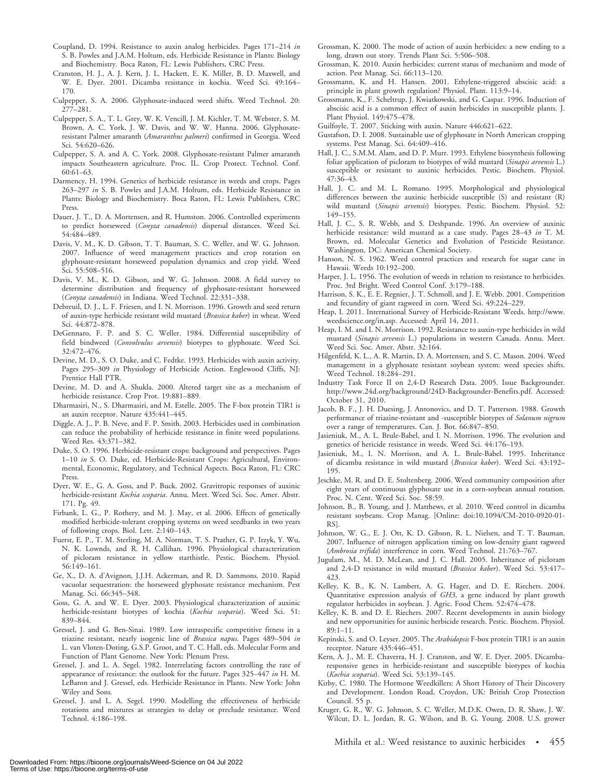- Coupland, D. 1994. Resistance to auxin analog herbicides. Pages 171–214 in S. B. Powles and J.A.M. Holtum, eds. Herbicide Resistance in Plants: Biology and Biochemistry. Boca Raton, FL: Lewis Publishers, CRC Press.
- Cranston, H. J., A. J. Kern, J. L. Hackett, E. K. Miller, B. D. Maxwell, and W. E. Dyer. 2001. Dicamba resistance in kochia. Weed Sci. 49:164– 170.
- Culpepper, S. A. 2006. Glyphosate-induced weed shifts. Weed Technol. 20: 277–281.
- Culpepper, S. A., T. L. Grey, W. K. Vencill, J. M. Kichler, T. M. Webster, S. M. Brown, A. C. York, J. W. Davis, and W. W. Hanna. 2006. Glyphosateresistant Palmer amaranth (Amaranthus palmeri) confirmed in Georgia. Weed Sci. 54:620–626.
- Culpepper, S. A. and A. C. York. 2008. Glyphosate-resistant Palmer amaranth impacts Southeastern agriculture. Proc. IL. Crop Protect. Technol. Conf. 60:61–63.
- Darmency, H. 1994. Genetics of herbicide resistance in weeds and crops. Pages 263–297 in S. B. Powles and J.A.M. Holtum, eds. Herbicide Resistance in Plants: Biology and Biochemistry. Boca Raton, FL: Lewis Publishers, CRC Press.
- Dauer, J. T., D. A. Mortensen, and R. Humston. 2006. Controlled experiments to predict horseweed (Conyza canadensis) dispersal distances. Weed Sci. 54:484–489.
- Davis, V. M., K. D. Gibson, T. T. Bauman, S. C. Weller, and W. G. Johnson. 2007. Influence of weed management practices and crop rotation on glyphosate-resistant horseweed population dynamics and crop yield. Weed Sci. 55:508–516.
- Davis, V. M., K. D. Gibson, and W. G. Johnson. 2008. A field survey to determine distribution and frequency of glyphosate-resistant horseweed (Conyza canadensis) in Indiana. Weed Technol. 22:331–338.
- Debreuil, D. J., L. F. Friesen, and I. N. Morrison. 1996. Growth and seed return of auxin-type herbicide resistant wild mustard (Brassica kaber) in wheat. Weed Sci. 44:872–878.
- DeGennaro, F. P. and S. C. Weller. 1984. Differential susceptibility of field bindweed (Convolvulus arvensis) biotypes to glyphosate. Weed Sci. 32:472–476.
- Devine, M. D., S. O. Duke, and C. Fedtke. 1993. Herbicides with auxin activity. Pages 295–309 in Physiology of Herbicide Action. Englewood Cliffs, NJ: Prentice Hall PTR.
- Devine, M. D. and A. Shukla. 2000. Altered target site as a mechanism of herbicide resistance. Crop Prot. 19:881–889.
- Dharmasiri, N., S. Dharmasiri, and M. Estelle. 2005. The F-box protein TIR1 is an auxin receptor. Nature 435:441–445.
- Diggle, A. J., P. B. Neve, and F. P. Smith. 2003. Herbicides used in combination can reduce the probability of herbicide resistance in finite weed populations. Weed Res. 43:371–382.
- Duke, S. O. 1996. Herbicide-resistant crops: background and perspectives. Pages 1–10 in S. O. Duke, ed. Herbicide-Resistant Crops: Agricultural, Environmental, Economic, Regulatory, and Technical Aspects. Boca Raton, FL: CRC Press.
- Dyer, W. E., G. A. Goss, and P. Buck. 2002. Gravitropic responses of auxinic herbicide-resistant Kochia scoparia. Annu. Meet. Weed Sci. Soc. Amer. Abstr. 171. Pg. 49.
- Firbank, L. G., P. Rothery, and M. J. May, et al. 2006. Effects of genetically modified herbicide-tolerant cropping systems on weed seedbanks in two years of following crops. Biol. Lett. 2:140–143.
- Fuerst, E. P., T. M. Sterling, M. A. Norman, T. S. Prather, G. P. Irzyk, Y. Wu, N. K. Lownds, and R. H. Callihan. 1996. Physiological characterization of picloram resistance in yellow starthistle. Pestic. Biochem. Physiol. 56:149–161.
- Ge, X., D. A. d'Avignon, J.J.H. Ackerman, and R. D. Sammons. 2010. Rapid vacuolar sequestration: the horseweed glyphosate resistance mechanism. Pest Manag. Sci. 66:345–348.
- Goss, G. A. and W. E. Dyer. 2003. Physiological characterization of auxinic herbicide-resistant biotypes of kochia (Kochia scoparia). Weed Sci. 51: 839–844.
- Gressel, J. and G. Ben-Sinai. 1989. Low intraspecific competitive fitness in a triazine resistant, nearly isogenic line of Brassica napus. Pages 489-504 in L. van Vloten-Doting, G.S.P. Groot, and T. C. Hall, eds. Molecular Form and Function of Plant Genome. New York: Plenum Press.
- Gressel, J. and L. A. Segel. 1982. Interrelating factors controlling the rate of appearance of resistance: the outlook for the future. Pages 325–447 in H. M. LeBaron and J. Gressel, eds. Herbicide Resistance in Plants. New York: John Wiley and Sons.
- Gressel, J. and L. A. Segel. 1990. Modelling the effectiveness of herbicide rotations and mixtures as strategies to delay or preclude resistance. Weed Technol. 4:186–198.
- Grossman, K. 2000. The mode of action of auxin herbicides: a new ending to a long, drawn out story. Trends Plant Sci. 5:506–508.
- Grossman, K. 2010. Auxin herbicides: current status of mechanism and mode of action. Pest Manag. Sci. 66:113–120.
- Grossmann, K. and H. Hansen. 2001. Ethylene-triggered abscisic acid: a principle in plant growth regulation? Physiol. Plant. 113:9–14.
- Grossmann, K., F. Scheltrup, J. Kwiatkowski, and G. Caspar. 1996. Induction of abscisic acid is a common effect of auxin herbicides in susceptible plants. J. Plant Physiol. 149:475–478.
- Guilfoyle, T. 2007. Sticking with auxin. Nature 446:621–622.
- Gustafson, D. I. 2008. Sustainable use of glyphosate in North American cropping systems. Pest Manag. Sci. 64:409–416.
- Hall, J. C., S.M.M. Alam, and D. P. Murr. 1993. Ethylene biosynthesis following foliar application of picloram to biotypes of wild mustard (Sinapis arvensis L.) susceptible or resistant to auxinic herbicides. Pestic. Biochem. Physiol. 47:36–43.
- Hall, J. C. and M. L. Romano. 1995. Morphological and physiological differences between the auxinic herbicide susceptible (S) and resistant (R) wild mustard (Sinapis arvensis) biotypes. Pestic. Biochem. Physiol. 52: 149–155.
- Hall, J. C., S. R. Webb, and S. Deshpande. 1996. An overview of auxinic herbicide resistance: wild mustard as a case study. Pages 28–43 in T. M. Brown, ed. Molecular Genetics and Evolution of Pesticide Resistance. Washington, DC: American Chemical Society.
- Hanson, N. S. 1962. Weed control practices and research for sugar cane in Hawaii. Weeds 10:192–200.
- Harper, J. L. 1956. The evolution of weeds in relation to resistance to herbicides. Proc. 3rd Bright. Weed Control Conf. 3:179–188.
- Harrison, S. K., E. E. Regnier, J. T. Schmoll, and J. E. Webb. 2001. Competition and fecundity of giant ragweed in corn. Weed Sci. 49:224–229.
- Heap, I. 2011. International Survey of Herbicide-Resistant Weeds. http://www. weedscience.org/in.asp. Accessed: April 14, 2011.
- Heap, I. M. and I. N. Morrison. 1992. Resistance to auxin-type herbicides in wild mustard (Sinapis arvensis L.) populations in western Canada. Annu. Meet. Weed Sci. Soc. Amer. Abstr. 32:164.
- Hilgenfeld, K. L., A. R. Martin, D. A. Mortensen, and S. C. Mason. 2004. Weed management in a glyphosate resistant soybean system: weed species shifts. Weed Technol. 18:284–291.
- Industry Task Force II on 2,4-D Research Data. 2005. Issue Backgrounder. http://www.24d.org/background/24D-Backgrounder-Benefits.pdf. Accessed: October 31, 2010.
- Jacob, B. F., J. H. Duesing, J. Antonovics, and D. T. Patterson. 1988. Growth performance of triazine-resistant and -susceptible biotypes of Solanum nigrum over a range of temperatures. Can. J. Bot. 66:847–850.
- Jasieniuk, M., A. L. Brule-Babel, and I. N. Morrison. 1996. The evolution and genetics of hericide resistance in weeds. Weed Sci. 44:176–193.
- Jasieniuk, M., I. N. Morrison, and A. L. Brule-Babel. 1995. Inheritance of dicamba resistance in wild mustard (Brassica kaber). Weed Sci. 43:192– 195.
- Jeschke, M. R. and D. E. Stoltenberg. 2006. Weed community composition after eight years of continuous glyphosate use in a corn-soybean annual rotation. Proc. N. Cent. Weed Sci. Soc. 58:59.
- Johnson, B., B. Young, and J. Matthews, et al. 2010. Weed control in dicamba resistant soybeans. Crop Manag. [Online: doi:10.1094/CM-2010-0920-01- RS].
- Johnson, W. G., E. J. Ott, K. D. Gibson, R. L. Nielsen, and T. T. Bauman. 2007. Influence of nitrogen application timing on low-density giant ragweed (Ambrosia trifida) interference in corn. Weed Technol. 21:763–767.
- Jugulam, M., M. D. McLean, and J. C. Hall. 2005. Inheritance of picloram and 2,4-D resistance in wild mustard (Brassica kaber). Weed Sci. 53:417-423.
- Kelley, K. B., K. N. Lambert, A. G. Hager, and D. E. Riechers. 2004. Quantitative expression analysis of GH3, a gene induced by plant growth regulator herbicides in soybean. J. Agric. Food Chem. 52:474–478.
- Kelley, K. B. and D. E. Riechers. 2007. Recent developments in auxin biology and new opportunities for auxinic herbicide research. Pestic. Biochem. Physiol. 89:1–11.
- Kepinski, S. and O. Leyser. 2005. The Arabidopsis F-box protein TIR1 is an auxin receptor. Nature 435:446–451.
- Kern, A. J., M. E. Chaverra, H. J. Cranston, and W. E. Dyer. 2005. Dicambaresponsive genes in herbicide-resistant and susceptible biotypes of kochia (Kochia scoparia). Weed Sci. 53:139-145.
- Kirby, C. 1980. The Hormone Weedkillers: A Short History of Their Discovery and Development. London Road, Croydon, UK: British Crop Protection Council. 55 p.
- Kruger, G. R., W. G. Johnson, S. C. Weller, M.D.K. Owen, D. R. Shaw, J. W. Wilcut, D. L. Jordan, R. G. Wilson, and B. G. Young. 2008. U.S. grower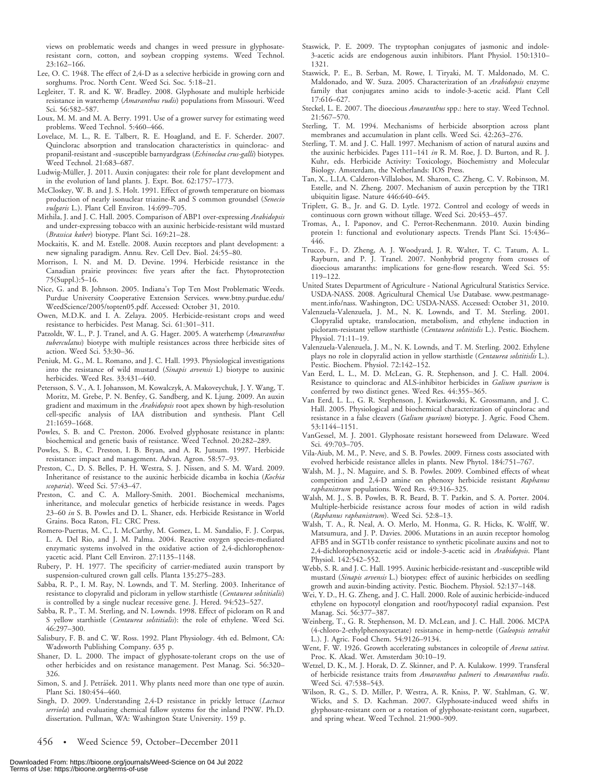views on problematic weeds and changes in weed pressure in glyphosateresistant corn, cotton, and soybean cropping systems. Weed Technol. 23:162–166.

- Lee, O. C. 1948. The effect of 2,4-D as a selective herbicide in growing corn and sorghums. Proc. North Cent. Weed Sci. Soc. 5:18–21.
- Legleiter, T. R. and K. W. Bradley. 2008. Glyphosate and multiple herbicide resistance in waterhemp (Amaranthus rudis) populations from Missouri. Weed Sci. 56:582–587.
- Loux, M. M. and M. A. Berry. 1991. Use of a grower survey for estimating weed problems. Weed Technol. 5:460–466.
- Lovelace, M. L., R. E. Talbert, R. E. Hoagland, and E. F. Scherder. 2007. Quinclorac absorption and translocation characteristics in quinclorac- and propanil-resistant and -susceptible barnyardgrass (Echinocloa crus-galli) biotypes. Weed Technol. 21:683–687.
- Ludwig-Müller, J. 2011. Auxin conjugates: their role for plant development and in the evolution of land plants. J. Expt. Bot. 62:1757–1773.
- McCloskey, W. B. and J. S. Holt. 1991. Effect of growth temperature on biomass production of nearly isonuclear triazine-R and S common groundsel (Senecio vulgaris L.). Plant Cell Environ. 14:699–705.
- Mithila, J. and J. C. Hall. 2005. Comparison of ABP1 over-expressing Arabidopsis and under-expressing tobacco with an auxinic herbicide-resistant wild mustard (Brassica kaber) biotype. Plant Sci. 169:21–28.
- Mockaitis, K. and M. Estelle. 2008. Auxin receptors and plant development: a new signaling paradigm. Annu. Rev. Cell Dev. Biol. 24:55–80.
- Morrison, I. N. and M. D. Devine. 1994. Herbicide resistance in the Canadian prairie provinces: five years after the fact. Phytoprotection 75(Suppl.):5–16.
- Nice, G. and B. Johnson. 2005. Indiana's Top Ten Most Problematic Weeds. Purdue University Cooperative Extension Services. www.btny.purdue.edu/ WeedScience/2005/topten05.pdf. Accessed: October 31, 2010.
- Owen, M.D.K. and I. A. Zelaya. 2005. Herbicide-resistant crops and weed resistance to herbicides. Pest Manag. Sci. 61:301–311.
- Patzoldt, W. L., P. J. Tranel, and A. G. Hager. 2005. A waterhemp (Amaranthus tuberculatus) biotype with multiple resistances across three herbicide sites of action. Weed Sci. 53:30–36.
- Peniuk, M. G., M. L. Romano, and J. C. Hall. 1993. Physiological investigations into the resistance of wild mustard (Sinapis arvensis L) biotype to auxinic herbicides. Weed Res. 33:431–440.
- Petersson, S. V., A. I. Johansson, M. Kowalczyk, A. Makoveychuk, J. Y. Wang, T. Moritz, M. Grebe, P. N. Benfey, G. Sandberg, and K. Ljung. 2009. An auxin gradient and maximum in the Arabidopsis root apex shown by high-resolution cell-specific analysis of IAA distribution and synthesis. Plant Cell 21:1659–1668.
- Powles, S. B. and C. Preston. 2006. Evolved glyphosate resistance in plants: biochemical and genetic basis of resistance. Weed Technol. 20:282–289.
- Powles, S. B., C. Preston, I. B. Bryan, and A. R. Jutsum. 1997. Herbicide resistance: impact and management. Advan. Agron. 58:57–93.
- Preston, C., D. S. Belles, P. H. Westra, S. J. Nissen, and S. M. Ward. 2009. Inheritance of resistance to the auxinic herbicide dicamba in kochia (Kochia scoparia). Weed Sci. 57:43–47.
- Preston, C. and C. A. Mallory-Smith. 2001. Biochemical mechanisms, inheritance, and molecular genetics of herbicide resistance in weeds. Pages 23–60 in S. B. Powles and D. L. Shaner, eds. Herbicide Resistance in World Grains. Boca Raton, FL: CRC Press.
- Romero-Puertas, M. C., I. McCarthy, M. Gomez, L. M. Sandalio, F. J. Corpas, L. A. Del Rio, and J. M. Palma. 2004. Reactive oxygen species-mediated enzymatic systems involved in the oxidative action of 2,4-dichlorophenoxyacetic acid. Plant Cell Environ. 27:1135–1148.
- Rubery, P. H. 1977. The specificity of carrier-mediated auxin transport by suspension-cultured crown gall cells. Planta 135:275–283.
- Sabba, R. P., I. M. Ray, N. Lownds, and T. M. Sterling. 2003. Inheritance of resistance to clopyralid and picloram in yellow starthistle (Centaurea solstitialis) is controlled by a single nuclear recessive gene. J. Hered. 94:523–527.
- Sabba, R. P., T. M. Sterling, and N. Lownds. 1998. Effect of picloram on R and S yellow starthistle (Centaurea solstitialis): the role of ethylene. Weed Sci. 46:297–300.
- Salisbury, F. B. and C. W. Ross. 1992. Plant Physiology. 4th ed. Belmont, CA: Wadsworth Publishing Company. 635 p.
- Shaner, D. L. 2000. The impact of glyphosate-tolerant crops on the use of other herbicides and on resistance management. Pest Manag. Sci. 56:320– 326.
- Simon, S. and J. Petrášek. 2011. Why plants need more than one type of auxin. Plant Sci. 180:454–460.
- Singh, D. 2009. Understanding 2,4-D resistance in prickly lettuce (Lactuca serriola) and evaluating chemical fallow systems for the inland PNW. Ph.D. dissertation. Pullman, WA: Washington State University. 159 p.
- Staswick, P. E. 2009. The tryptophan conjugates of jasmonic and indole-3-acetic acids are endogenous auxin inhibitors. Plant Physiol. 150:1310– 1321.
- Staswick, P. E., B. Serban, M. Rowe, I. Tiryaki, M. T. Maldonado, M. C. Maldonado, and W. Suza. 2005. Characterization of an Arabidopsis enzyme family that conjugates amino acids to indole-3-acetic acid. Plant Cell 17:616–627.
- Steckel, L. E. 2007. The dioecious Amaranthus spp.: here to stay. Weed Technol. 21:567–570.
- Sterling, T. M. 1994. Mechanisms of herbicide absorption across plant membranes and accumulation in plant cells. Weed Sci. 42:263–276.
- Sterling, T. M. and J. C. Hall. 1997. Mechanism of action of natural auxins and the auxinic herbicides. Pages 111–141 in R. M. Roe, J. D. Burton, and R. J. Kuhr, eds. Herbicide Activity: Toxicology, Biochemistry and Molecular Biology. Amsterdam, the Netherlands: IOS Press.
- Tan, X., L.I.A. Calderon-Villalobos, M. Sharon, C. Zheng, C. V. Robinson, M. Estelle, and N. Zheng. 2007. Mechanism of auxin perception by the TIR1 ubiquitin ligase. Nature 446:640–645.
- Triplett, G. B., Jr. and G. D. Lytle. 1972. Control and ecology of weeds in continuous corn grown without tillage. Weed Sci. 20:453–457.
- Tromas, A., I. Paponov, and C. Perrot-Rechenmann. 2010. Auxin binding protein 1: functional and evolutionary aspects. Trends Plant Sci. 15:436– 446.
- Trucco, F., D. Zheng, A. J. Woodyard, J. R. Walter, T. C. Tatum, A. L. Rayburn, and P. J. Tranel. 2007. Nonhybrid progeny from crosses of dioecious amaranths: implications for gene-flow research. Weed Sci. 55: 119–122.
- United States Department of Agriculture National Agricultural Statistics Service. USDA-NASS. 2008. Agricultural Chemical Use Database. www.pestmanagement.info/nass. Washington, DC: USDA-NASS. Accessed: October 31, 2010.
- Valenzuela-Valenzuela, J. M., N. K. Lownds, and T. M. Sterling. 2001. Clopyralid uptake, translocation, metabolism, and ethylene induction in picloram-resistant yellow starthistle (Centaurea solstitislis L.). Pestic. Biochem. Physiol. 71:11–19.
- Valenzuela-Valenzuela, J. M., N. K. Lownds, and T. M. Sterling. 2002. Ethylene plays no role in clopyralid action in yellow starthistle (Centaurea solstitislis L.). Pestic. Biochem. Physiol. 72:142–152.
- Van Eerd, L. L., M. D. McLean, G. R. Stephenson, and J. C. Hall. 2004. Resistance to quinclorac and ALS-inhibitor herbicides in Galium spurium is conferred by two distinct genes. Weed Res. 44:355–365.
- Van Eerd, L. L., G. R. Stephenson, J. Kwiatkowski, K. Grossmann, and J. C. Hall. 2005. Physiological and biochemical characterization of quinclorac and resistance in a false cleavers (Galium spurium) biotype. J. Agric. Food Chem. 53:1144–1151.
- VanGessel, M. J. 2001. Glyphosate resistant horseweed from Delaware. Weed Sci. 49:703–705.
- Vila-Aiub, M. M., P. Neve, and S. B. Powles. 2009. Fitness costs associated with evolved herbicide resistance alleles in plants. New Phytol. 184:751–767.
- Walsh, M. J., N. Maguire, and S. B. Powles. 2009. Combined effects of wheat competition and 2,4-D amine on phenoxy herbicide resistant Raphanus raphanistrum populations. Weed Res. 49:316–325.
- Walsh, M. J., S. B. Powles, B. R. Beard, B. T. Parkin, and S. A. Porter. 2004. Multiple-herbicide resistance across four modes of action in wild radish (Raphanus raphanistrum). Weed Sci. 52:8–13.
- Walsh, T. A., R. Neal, A. O. Merlo, M. Honma, G. R. Hicks, K. Wolff, W. Matsumura, and J. P. Davies. 2006. Mutations in an auxin receptor homolog AFB5 and in SGT1b confer resistance to synthetic picolinate auxins and not to 2,4-dichlorophenoxyacetic acid or indole-3-acetic acid in Arabidopsis. Plant Physiol. 142:542–552.
- Webb, S. R. and J. C. Hall. 1995. Auxinic herbicide-resistant and -susceptible wild mustard (Sinapis arvensis L.) biotypes: effect of auxinic herbicides on seedling growth and auxin-binding activity. Pestic. Biochem. Physiol. 52:137–148.
- Wei, Y. D., H. G. Zheng, and J. C. Hall. 2000. Role of auxinic herbicide-induced ethylene on hypocotyl elongation and root/hypocotyl radial expansion. Pest Manag. Sci. 56:377–387.
- Weinberg, T., G. R. Stephenson, M. D. McLean, and J. C. Hall. 2006. MCPA (4-chloro-2-ethylphenoxyacetate) resistance in hemp-nettle (Galeopsis tetrahit L.). J. Agric. Food Chem. 54:9126–9134.
- Went, F. W. 1926. Growth accelerating substances in coleoptile of Avena sativa. Proc. K. Akad. Wet. Amsterdam 30:10–19.
- Wetzel, D. K., M. J. Horak, D. Z. Skinner, and P. A. Kulakow. 1999. Transferal of herbicide resistance traits from Amaranthus palmeri to Amaranthus rudis. Weed Sci. 47:538–543.
- Wilson, R. G., S. D. Miller, P. Westra, A. R. Kniss, P. W. Stahlman, G. W. Wicks, and S. D. Kachman. 2007. Glyphosate-induced weed shifts in glyphosate-resistant corn or a rotation of glyphosate-resistant corn, sugarbeet, and spring wheat. Weed Technol. 21:900–909.